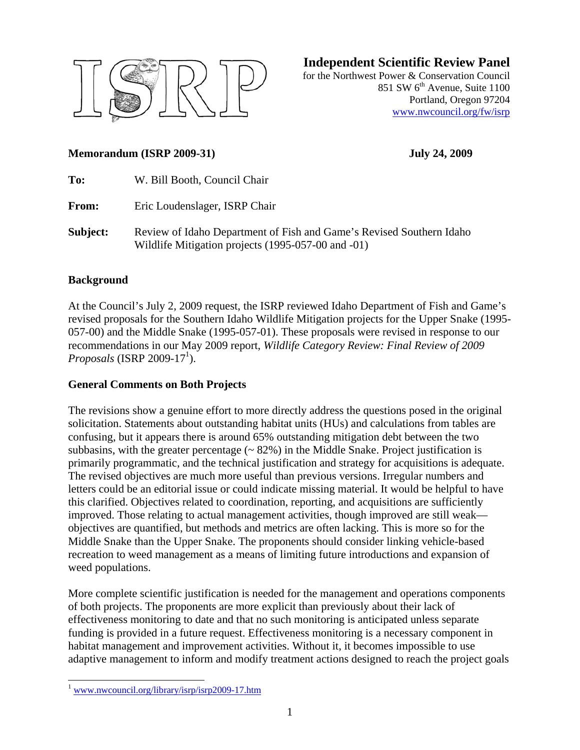

**Independent Scientific Review Panel**

for the Northwest Power & Conservation Council 851 SW  $6<sup>th</sup>$  Avenue, Suite 1100 Portland, Oregon 97204 www.nwcouncil.org/fw/isrp

#### **Memorandum (ISRP 2009-31) July 24, 2009**

| To:      | W. Bill Booth, Council Chair                                         |
|----------|----------------------------------------------------------------------|
| From:    | Eric Loudenslager, ISRP Chair                                        |
| Subject: | Review of Idaho Department of Fish and Game's Revised Southern Idaho |

Wildlife Mitigation projects (1995-057-00 and -01)

#### **Background**

At the Council's July 2, 2009 request, the ISRP reviewed Idaho Department of Fish and Game's revised proposals for the Southern Idaho Wildlife Mitigation projects for the Upper Snake (1995- 057-00) and the Middle Snake (1995-057-01). These proposals were revised in response to our recommendations in our May 2009 report, *Wildlife Category Review: Final Review of 2009*   $Proposals$  (ISRP 2009-17<sup>1</sup>).

#### **General Comments on Both Projects**

The revisions show a genuine effort to more directly address the questions posed in the original solicitation. Statements about outstanding habitat units (HUs) and calculations from tables are confusing, but it appears there is around 65% outstanding mitigation debt between the two subbasins, with the greater percentage  $($   $\sim$  82%) in the Middle Snake. Project justification is primarily programmatic, and the technical justification and strategy for acquisitions is adequate. The revised objectives are much more useful than previous versions. Irregular numbers and letters could be an editorial issue or could indicate missing material. It would be helpful to have this clarified. Objectives related to coordination, reporting, and acquisitions are sufficiently improved. Those relating to actual management activities, though improved are still weak objectives are quantified, but methods and metrics are often lacking. This is more so for the Middle Snake than the Upper Snake. The proponents should consider linking vehicle-based recreation to weed management as a means of limiting future introductions and expansion of weed populations.

More complete scientific justification is needed for the management and operations components of both projects. The proponents are more explicit than previously about their lack of effectiveness monitoring to date and that no such monitoring is anticipated unless separate funding is provided in a future request. Effectiveness monitoring is a necessary component in habitat management and improvement activities. Without it, it becomes impossible to use adaptive management to inform and modify treatment actions designed to reach the project goals

 $\overline{a}$ 

<sup>1</sup> www.nwcouncil.org/library/isrp/isrp2009-17.htm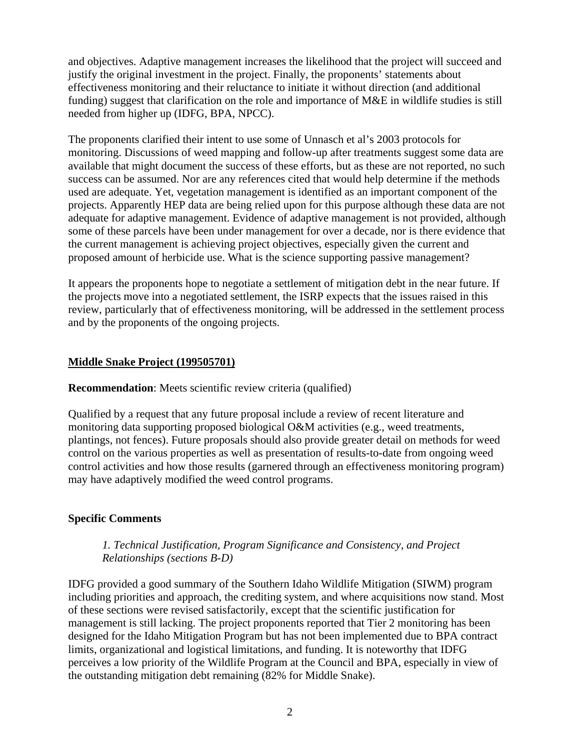and objectives. Adaptive management increases the likelihood that the project will succeed and justify the original investment in the project. Finally, the proponents' statements about effectiveness monitoring and their reluctance to initiate it without direction (and additional funding) suggest that clarification on the role and importance of M&E in wildlife studies is still needed from higher up (IDFG, BPA, NPCC).

The proponents clarified their intent to use some of Unnasch et al's 2003 protocols for monitoring. Discussions of weed mapping and follow-up after treatments suggest some data are available that might document the success of these efforts, but as these are not reported, no such success can be assumed. Nor are any references cited that would help determine if the methods used are adequate. Yet, vegetation management is identified as an important component of the projects. Apparently HEP data are being relied upon for this purpose although these data are not adequate for adaptive management. Evidence of adaptive management is not provided, although some of these parcels have been under management for over a decade, nor is there evidence that the current management is achieving project objectives, especially given the current and proposed amount of herbicide use. What is the science supporting passive management?

It appears the proponents hope to negotiate a settlement of mitigation debt in the near future. If the projects move into a negotiated settlement, the ISRP expects that the issues raised in this review, particularly that of effectiveness monitoring, will be addressed in the settlement process and by the proponents of the ongoing projects.

# **Middle Snake Project (199505701)**

**Recommendation**: Meets scientific review criteria (qualified)

Qualified by a request that any future proposal include a review of recent literature and monitoring data supporting proposed biological O&M activities (e.g., weed treatments, plantings, not fences). Future proposals should also provide greater detail on methods for weed control on the various properties as well as presentation of results-to-date from ongoing weed control activities and how those results (garnered through an effectiveness monitoring program) may have adaptively modified the weed control programs.

## **Specific Comments**

# *1. Technical Justification, Program Significance and Consistency, and Project Relationships (sections B-D)*

IDFG provided a good summary of the Southern Idaho Wildlife Mitigation (SIWM) program including priorities and approach, the crediting system, and where acquisitions now stand. Most of these sections were revised satisfactorily, except that the scientific justification for management is still lacking. The project proponents reported that Tier 2 monitoring has been designed for the Idaho Mitigation Program but has not been implemented due to BPA contract limits, organizational and logistical limitations, and funding. It is noteworthy that IDFG perceives a low priority of the Wildlife Program at the Council and BPA, especially in view of the outstanding mitigation debt remaining (82% for Middle Snake).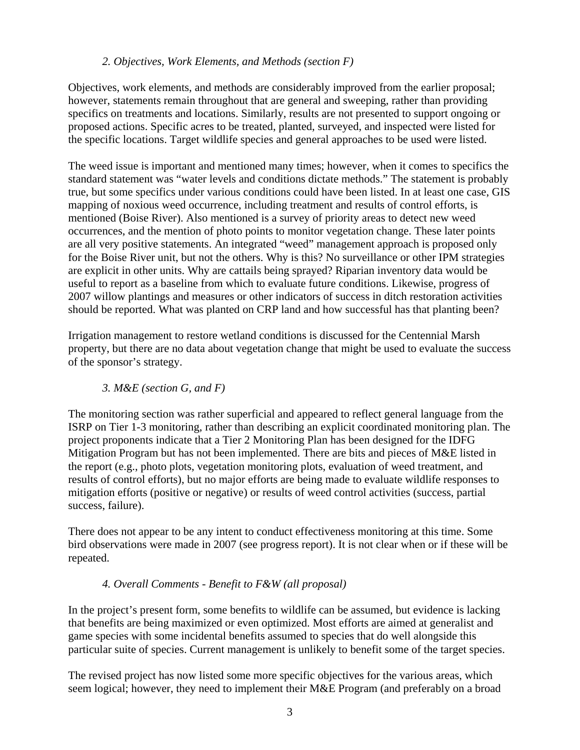#### *2. Objectives, Work Elements, and Methods (section F)*

Objectives, work elements, and methods are considerably improved from the earlier proposal; however, statements remain throughout that are general and sweeping, rather than providing specifics on treatments and locations. Similarly, results are not presented to support ongoing or proposed actions. Specific acres to be treated, planted, surveyed, and inspected were listed for the specific locations. Target wildlife species and general approaches to be used were listed.

The weed issue is important and mentioned many times; however, when it comes to specifics the standard statement was "water levels and conditions dictate methods." The statement is probably true, but some specifics under various conditions could have been listed. In at least one case, GIS mapping of noxious weed occurrence, including treatment and results of control efforts, is mentioned (Boise River). Also mentioned is a survey of priority areas to detect new weed occurrences, and the mention of photo points to monitor vegetation change. These later points are all very positive statements. An integrated "weed" management approach is proposed only for the Boise River unit, but not the others. Why is this? No surveillance or other IPM strategies are explicit in other units. Why are cattails being sprayed? Riparian inventory data would be useful to report as a baseline from which to evaluate future conditions. Likewise, progress of 2007 willow plantings and measures or other indicators of success in ditch restoration activities should be reported. What was planted on CRP land and how successful has that planting been?

Irrigation management to restore wetland conditions is discussed for the Centennial Marsh property, but there are no data about vegetation change that might be used to evaluate the success of the sponsor's strategy.

## *3. M&E (section G, and F)*

The monitoring section was rather superficial and appeared to reflect general language from the ISRP on Tier 1-3 monitoring, rather than describing an explicit coordinated monitoring plan. The project proponents indicate that a Tier 2 Monitoring Plan has been designed for the IDFG Mitigation Program but has not been implemented. There are bits and pieces of M&E listed in the report (e.g., photo plots, vegetation monitoring plots, evaluation of weed treatment, and results of control efforts), but no major efforts are being made to evaluate wildlife responses to mitigation efforts (positive or negative) or results of weed control activities (success, partial success, failure).

There does not appear to be any intent to conduct effectiveness monitoring at this time. Some bird observations were made in 2007 (see progress report). It is not clear when or if these will be repeated.

## *4. Overall Comments - Benefit to F&W (all proposal)*

In the project's present form, some benefits to wildlife can be assumed, but evidence is lacking that benefits are being maximized or even optimized. Most efforts are aimed at generalist and game species with some incidental benefits assumed to species that do well alongside this particular suite of species. Current management is unlikely to benefit some of the target species.

The revised project has now listed some more specific objectives for the various areas, which seem logical; however, they need to implement their M&E Program (and preferably on a broad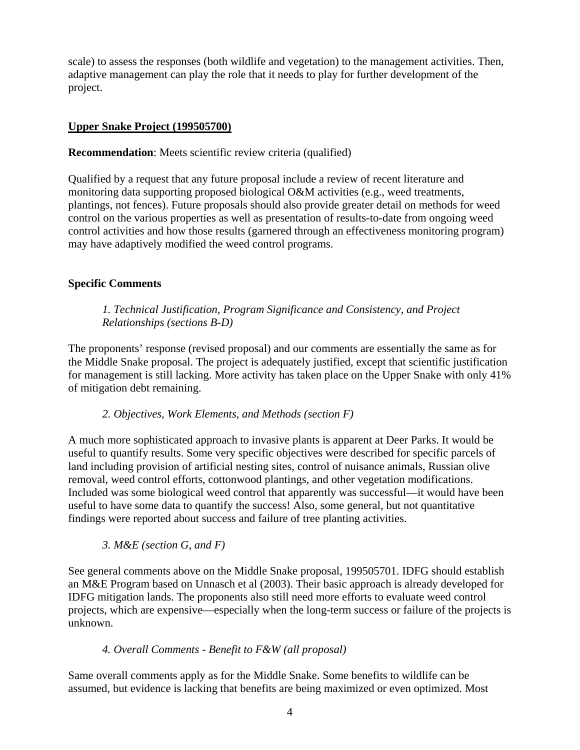scale) to assess the responses (both wildlife and vegetation) to the management activities. Then, adaptive management can play the role that it needs to play for further development of the project.

#### **Upper Snake Project (199505700)**

**Recommendation:** Meets scientific review criteria (qualified)

Qualified by a request that any future proposal include a review of recent literature and monitoring data supporting proposed biological O&M activities (e.g., weed treatments, plantings, not fences). Future proposals should also provide greater detail on methods for weed control on the various properties as well as presentation of results-to-date from ongoing weed control activities and how those results (garnered through an effectiveness monitoring program) may have adaptively modified the weed control programs.

## **Specific Comments**

# *1. Technical Justification, Program Significance and Consistency, and Project Relationships (sections B-D)*

The proponents' response (revised proposal) and our comments are essentially the same as for the Middle Snake proposal. The project is adequately justified, except that scientific justification for management is still lacking. More activity has taken place on the Upper Snake with only 41% of mitigation debt remaining.

## *2. Objectives, Work Elements, and Methods (section F)*

A much more sophisticated approach to invasive plants is apparent at Deer Parks. It would be useful to quantify results. Some very specific objectives were described for specific parcels of land including provision of artificial nesting sites, control of nuisance animals, Russian olive removal, weed control efforts, cottonwood plantings, and other vegetation modifications. Included was some biological weed control that apparently was successful—it would have been useful to have some data to quantify the success! Also, some general, but not quantitative findings were reported about success and failure of tree planting activities.

## *3. M&E (section G, and F)*

See general comments above on the Middle Snake proposal, 199505701. IDFG should establish an M&E Program based on Unnasch et al (2003). Their basic approach is already developed for IDFG mitigation lands. The proponents also still need more efforts to evaluate weed control projects, which are expensive—especially when the long-term success or failure of the projects is unknown.

## *4. Overall Comments - Benefit to F&W (all proposal)*

Same overall comments apply as for the Middle Snake. Some benefits to wildlife can be assumed, but evidence is lacking that benefits are being maximized or even optimized. Most